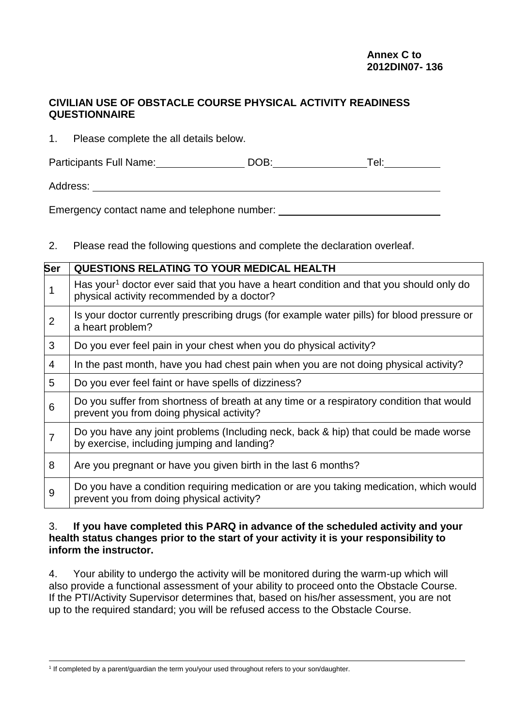## **CIVILIAN USE OF OBSTACLE COURSE PHYSICAL ACTIVITY READINESS QUESTIONNAIRE**

1. Please complete the all details below.

Participants Full Name: DOB: DOB: Tel: Tel:

Address:

Emergency contact name and telephone number: \_\_\_\_\_\_\_\_\_\_\_\_\_\_\_\_\_\_\_\_\_\_\_\_\_\_\_\_\_\_\_\_\_\_\_

2. Please read the following questions and complete the declaration overleaf.

| Ser            | <b>QUESTIONS RELATING TO YOUR MEDICAL HEALTH</b>                                                                                                 |
|----------------|--------------------------------------------------------------------------------------------------------------------------------------------------|
| 1              | Has your <sup>1</sup> doctor ever said that you have a heart condition and that you should only do<br>physical activity recommended by a doctor? |
| $\overline{2}$ | Is your doctor currently prescribing drugs (for example water pills) for blood pressure or<br>a heart problem?                                   |
| 3              | Do you ever feel pain in your chest when you do physical activity?                                                                               |
| $\overline{4}$ | In the past month, have you had chest pain when you are not doing physical activity?                                                             |
| 5              | Do you ever feel faint or have spells of dizziness?                                                                                              |
| 6              | Do you suffer from shortness of breath at any time or a respiratory condition that would<br>prevent you from doing physical activity?            |
| 7              | Do you have any joint problems (Including neck, back & hip) that could be made worse<br>by exercise, including jumping and landing?              |
| 8              | Are you pregnant or have you given birth in the last 6 months?                                                                                   |
| 9              | Do you have a condition requiring medication or are you taking medication, which would<br>prevent you from doing physical activity?              |

## 3. **If you have completed this PARQ in advance of the scheduled activity and your health status changes prior to the start of your activity it is your responsibility to inform the instructor.**

4. Your ability to undergo the activity will be monitored during the warm-up which will also provide a functional assessment of your ability to proceed onto the Obstacle Course. If the PTI/Activity Supervisor determines that, based on his/her assessment, you are not up to the required standard; you will be refused access to the Obstacle Course.

-1 If completed by a parent/guardian the term you/your used throughout refers to your son/daughter.